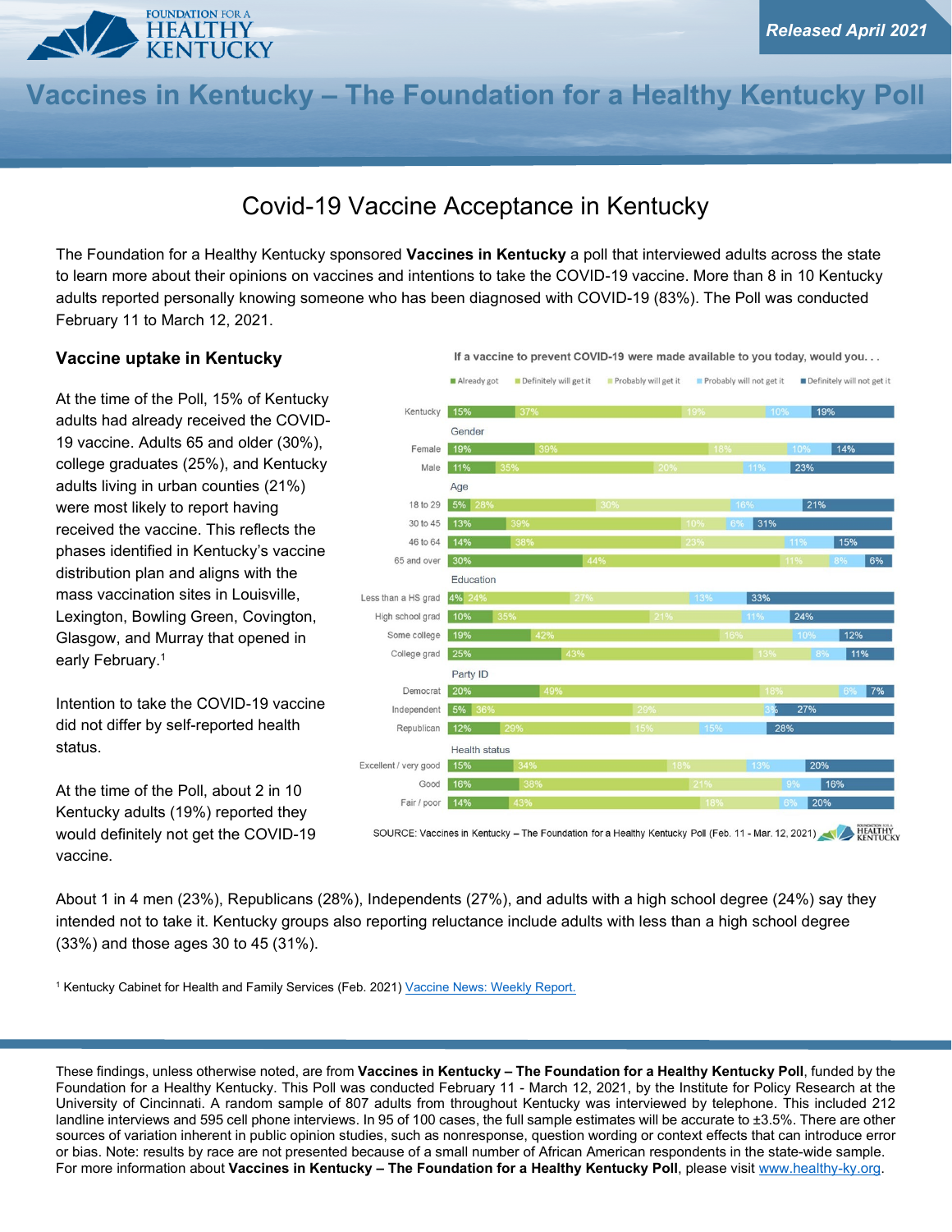

# **Vaccines in Kentucky – The Foundation for a Healthy Kentucky Poll**

## Covid-19 Vaccine Acceptance in Kentucky

The Foundation for a Healthy Kentucky sponsored **Vaccines in Kentucky** a poll that interviewed adults across the state to learn more about their opinions on vaccines and intentions to take the COVID-19 vaccine. More than 8 in 10 Kentucky adults reported personally knowing someone who has been diagnosed with COVID-19 (83%). The Poll was conducted February 11 to March 12, 2021.

#### **Vaccine uptake in Kentucky**

At the time of the Poll, 15% of Kentucky adults had already received the COVID-19 vaccine. Adults 65 and older (30%), college graduates (25%), and Kentucky adults living in urban counties (21%) were most likely to report having received the vaccine. This reflects the phases identified in Kentucky's vaccine distribution plan and aligns with the mass vaccination sites in Louisville, Lexington, Bowling Green, Covington, Glasgow, and Murray that opened in early February.<sup>1</sup>

Intention to take the COVID-19 vaccine did not differ by self-reported health status.

At the time of the Poll, about 2 in 10 Kentucky adults (19%) reported they would definitely not get the COVID-19 vaccine.



SOURCE: Vaccines in Kentucky – The Foundation for a Healthy Kentucky Poll (Feb. 11 - Mar. 12, 2021)

About 1 in 4 men (23%), Republicans (28%), Independents (27%), and adults with a high school degree (24%) say they intended not to take it. Kentucky groups also reporting reluctance include adults with less than a high school degree (33%) and those ages 30 to 45 (31%).

<sup>1</sup> Kentucky Cabinet for Health and Family Services (Feb. 2021[\) Vaccine News: Weekly Report.](https://chfs.ky.gov/agencies/dph/covid19/Vaxxweeklyreport02052021.pdf)

These findings, unless otherwise noted, are from **Vaccines in Kentucky – The Foundation for a Healthy Kentucky Poll**, funded by the Foundation for a Healthy Kentucky. This Poll was conducted February 11 - March 12, 2021, by the Institute for Policy Research at the University of Cincinnati. A random sample of 807 adults from throughout Kentucky was interviewed by telephone. This included 212 landline interviews and 595 cell phone interviews. In 95 of 100 cases, the full sample estimates will be accurate to ±3.5%. There are other sources of variation inherent in public opinion studies, such as nonresponse, question wording or context effects that can introduce error or bias. Note: results by race are not presented because of a small number of African American respondents in the state-wide sample. For more information about **Vaccines in Kentucky – The Foundation for a Healthy Kentucky Poll**, please visit www.healthy-ky.org.